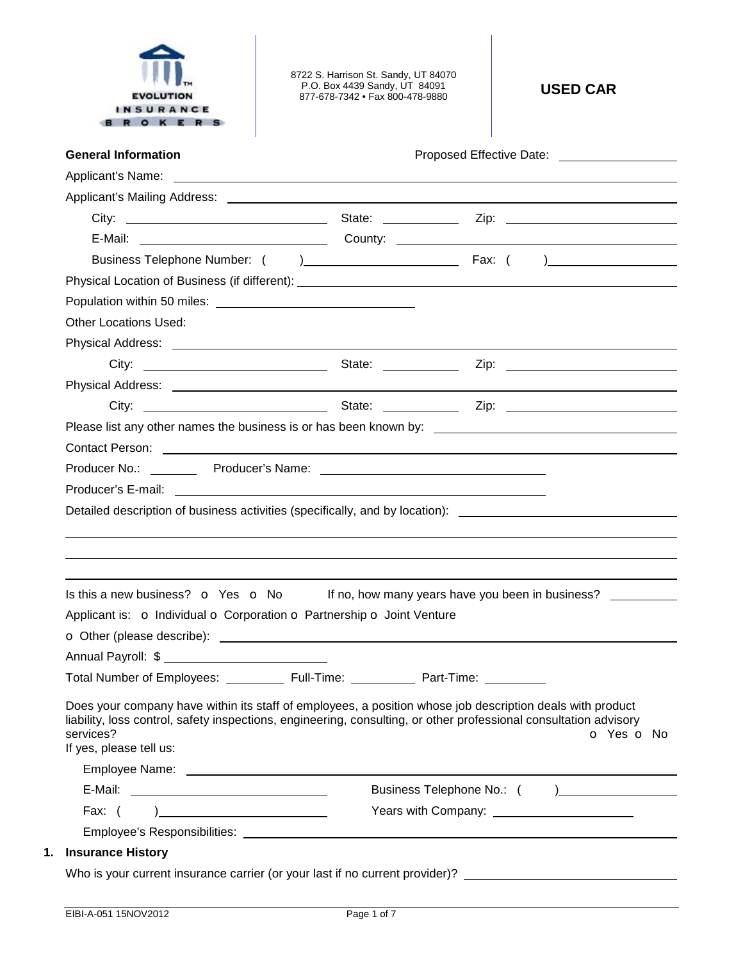

8722 S. Harrison St. Sandy, UT 84070 P.O. Box 4439 Sandy, UT 84091 877-678-7342 • Fax 800-478-9880 **USED CAR** 

| <b>General Information</b>                                                                                                                                                                                                                                             |            | Proposed Effective Date: ____________________ |            |  |
|------------------------------------------------------------------------------------------------------------------------------------------------------------------------------------------------------------------------------------------------------------------------|------------|-----------------------------------------------|------------|--|
|                                                                                                                                                                                                                                                                        |            |                                               |            |  |
|                                                                                                                                                                                                                                                                        |            |                                               |            |  |
|                                                                                                                                                                                                                                                                        |            |                                               |            |  |
|                                                                                                                                                                                                                                                                        |            |                                               |            |  |
|                                                                                                                                                                                                                                                                        |            |                                               |            |  |
|                                                                                                                                                                                                                                                                        |            |                                               |            |  |
|                                                                                                                                                                                                                                                                        |            |                                               |            |  |
| <b>Other Locations Used:</b>                                                                                                                                                                                                                                           |            |                                               |            |  |
|                                                                                                                                                                                                                                                                        |            |                                               |            |  |
|                                                                                                                                                                                                                                                                        |            |                                               |            |  |
|                                                                                                                                                                                                                                                                        |            |                                               |            |  |
|                                                                                                                                                                                                                                                                        |            |                                               |            |  |
|                                                                                                                                                                                                                                                                        |            |                                               |            |  |
| Contact Person: New York Contact Person: New York Contact Person: New York Contact Person: New York Contact Person:                                                                                                                                                    |            |                                               |            |  |
|                                                                                                                                                                                                                                                                        |            |                                               |            |  |
|                                                                                                                                                                                                                                                                        |            |                                               |            |  |
| Detailed description of business activities (specifically, and by location): _______________________                                                                                                                                                                   |            |                                               |            |  |
|                                                                                                                                                                                                                                                                        |            |                                               |            |  |
| Is this a new business? $\bullet$ Yes $\bullet$ No If no, how many years have you been in business?                                                                                                                                                                    |            |                                               |            |  |
| Applicant is: o Individual o Corporation o Partnership o Joint Venture                                                                                                                                                                                                 |            |                                               |            |  |
|                                                                                                                                                                                                                                                                        |            |                                               |            |  |
| Annual Payroll: \$                                                                                                                                                                                                                                                     |            |                                               |            |  |
| <b>Total Number of Employees:</b>                                                                                                                                                                                                                                      | Full-Time: | Part-Time:                                    |            |  |
| Does your company have within its staff of employees, a position whose job description deals with product<br>liability, loss control, safety inspections, engineering, consulting, or other professional consultation advisory<br>services?<br>If yes, please tell us: |            |                                               |            |  |
|                                                                                                                                                                                                                                                                        |            |                                               |            |  |
|                                                                                                                                                                                                                                                                        |            |                                               |            |  |
| Fax: $( )$                                                                                                                                                                                                                                                             |            |                                               |            |  |
| <b>Insurance History</b>                                                                                                                                                                                                                                               |            |                                               | o Yes o No |  |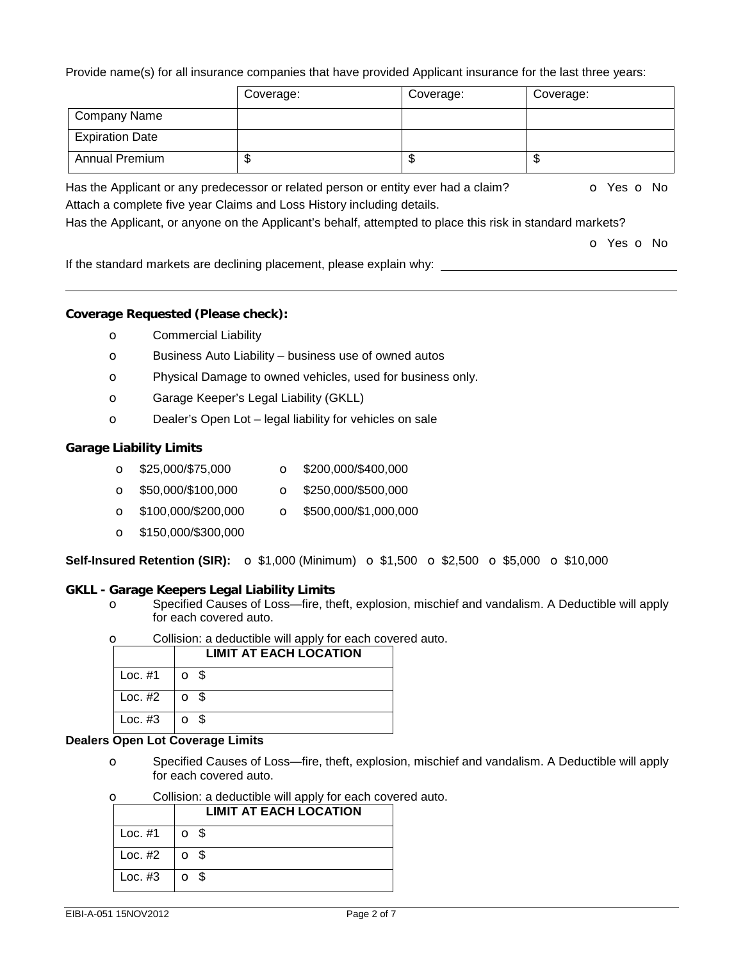Provide name(s) for all insurance companies that have provided Applicant insurance for the last three years:

|                        | Coverage: | Coverage: | Coverage: |
|------------------------|-----------|-----------|-----------|
| <b>Company Name</b>    |           |           |           |
| <b>Expiration Date</b> |           |           |           |
| <b>Annual Premium</b>  | ۰D        | จ         | ѡ         |

Has the Applicant or any predecessor or related person or entity ever had a claim?  $\bullet$  Yes  $\bullet$  No Attach a complete five year Claims and Loss History including details.

Has the Applicant, or anyone on the Applicant's behalf, attempted to place this risk in standard markets?

o Yes o No

If the standard markets are declining placement, please explain why:

# **Coverage Requested (Please check):**

- o Commercial Liability
- o Business Auto Liability business use of owned autos
- o Physical Damage to owned vehicles, used for business only.
- o Garage Keeper's Legal Liability (GKLL)
- o Dealer's Open Lot legal liability for vehicles on sale

## **Garage Liability Limits**

- o \$25,000/\$75,000 o \$200,000/\$400,000
- o \$50,000/\$100,000 o \$250,000/\$500,000
- $\bullet$  \$100,000/\$200,000  $\bullet$  \$500,000/\$1,000,000
- o \$150,000/\$300,000

**Self-Insured Retention (SIR):** o \$1,000 (Minimum) o \$1,500 o \$2,500 o \$5,000 o \$10,000

## **GKLL - Garage Keepers Legal Liability Limits**

o Specified Causes of Loss—fire, theft, explosion, mischief and vandalism. A Deductible will apply for each covered auto.

| Collision: a deductible will apply for each covered auto.<br>Ω |                        |                               |  |  |  |  |
|----------------------------------------------------------------|------------------------|-------------------------------|--|--|--|--|
|                                                                |                        | <b>LIMIT AT EACH LOCATION</b> |  |  |  |  |
|                                                                | Loc. $#1$              | O S                           |  |  |  |  |
|                                                                | $Loc. #2$   $\circ$ \$ |                               |  |  |  |  |
|                                                                | $Loc. #3$   $\circ$ \$ |                               |  |  |  |  |

#### **Dealers Open Lot Coverage Limits**

o Specified Causes of Loss—fire, theft, explosion, mischief and vandalism. A Deductible will apply for each covered auto.

| Collision: a deductible will apply for each covered auto.<br>O |                        |                               |  |  |  |
|----------------------------------------------------------------|------------------------|-------------------------------|--|--|--|
|                                                                |                        | <b>LIMIT AT EACH LOCATION</b> |  |  |  |
|                                                                | Loc. $#1$              | $\Omega$ $\Omega$             |  |  |  |
|                                                                | Loc. $#2$              | $\overline{5}$                |  |  |  |
|                                                                | $Loc. #3$   $\circ$ \$ |                               |  |  |  |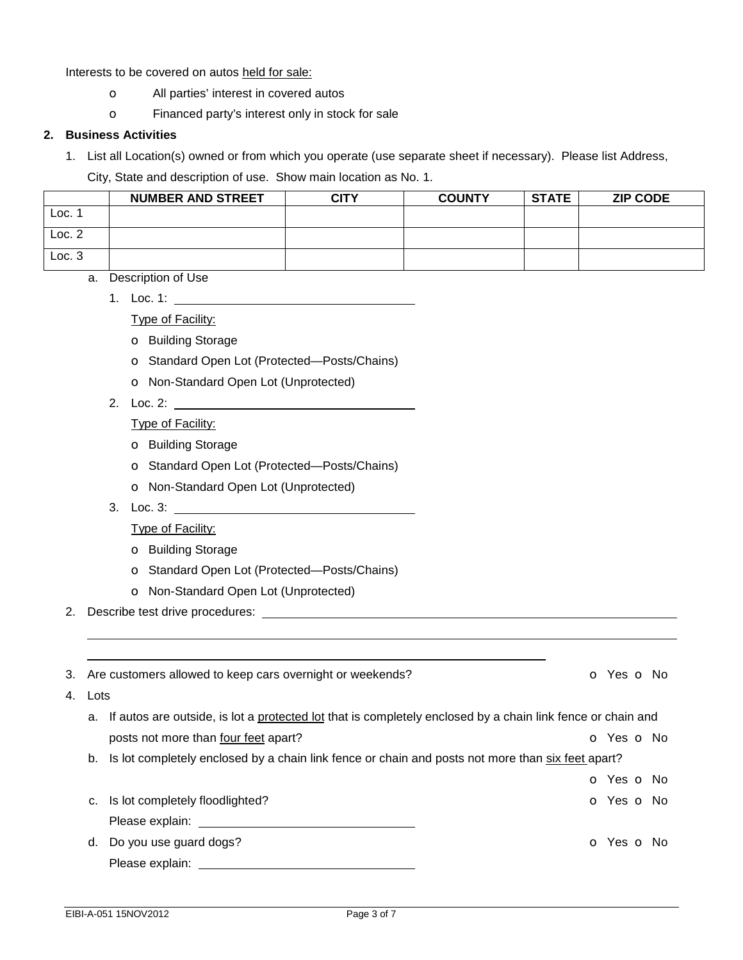Interests to be covered on autos held for sale:

- o All parties' interest in covered autos
- o Financed party's interest only in stock for sale

# **2. Business Activities**

1. List all Location(s) owned or from which you operate (use separate sheet if necessary). Please list Address,

City, State and description of use. Show main location as No. 1.

|        | <b>NUMBER AND STREET</b> | CITY | <b>COUNTY</b> | <b>STATE</b> | <b>ZIP CODE</b> |
|--------|--------------------------|------|---------------|--------------|-----------------|
| Loc.   |                          |      |               |              |                 |
| Loc. 2 |                          |      |               |              |                 |
| Loc.3  |                          |      |               |              |                 |

a. Description of Use

1. Loc. 1:

Type of Facility:

- o Building Storage
- o Standard Open Lot (Protected—Posts/Chains)
- o Non-Standard Open Lot (Unprotected)
- 2. Loc. 2:

Type of Facility:

- o Building Storage
- o Standard Open Lot (Protected—Posts/Chains)
- o Non-Standard Open Lot (Unprotected)
- 3. Loc. 3:

Type of Facility:

- o Building Storage
- o Standard Open Lot (Protected—Posts/Chains)
- o Non-Standard Open Lot (Unprotected)

2. Describe test drive procedures:

 

|         | 3. Are customers allowed to keep cars overnight or weekends?                                                                                                                                                                   | O Yes O No |  |
|---------|--------------------------------------------------------------------------------------------------------------------------------------------------------------------------------------------------------------------------------|------------|--|
| 4. Lots |                                                                                                                                                                                                                                |            |  |
|         | a. If autos are outside, is lot a protected lot that is completely enclosed by a chain link fence or chain and                                                                                                                 |            |  |
|         | posts not more than four feet apart?                                                                                                                                                                                           | O Yes O No |  |
|         | b. Is lot completely enclosed by a chain link fence or chain and posts not more than six feet apart?                                                                                                                           |            |  |
|         |                                                                                                                                                                                                                                | O Yes O No |  |
| C.      | Is lot completely floodlighted?                                                                                                                                                                                                | o Yes o No |  |
|         | Please explain: The contract of the contract of the contract of the contract of the contract of the contract of the contract of the contract of the contract of the contract of the contract of the contract of the contract o |            |  |
| d.      | Do you use guard dogs?                                                                                                                                                                                                         | O Yes O No |  |
|         | Please explain:                                                                                                                                                                                                                |            |  |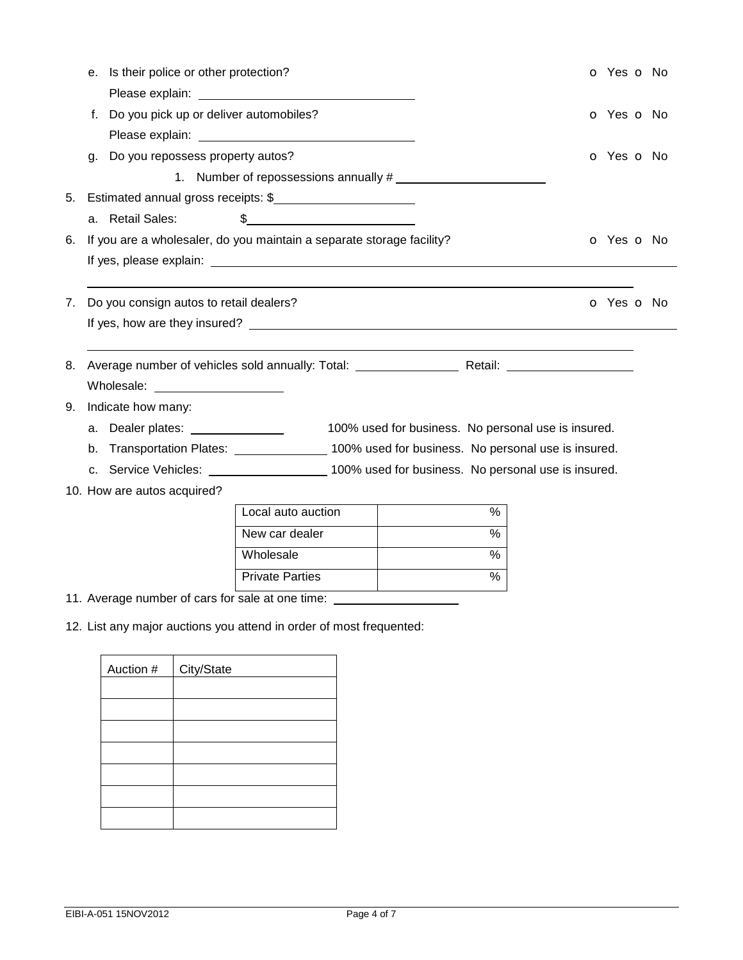|    | e. Is their police or other protection?                                                         |                                                                                                                                                                                                                                |                                                     | O Yes O No |
|----|-------------------------------------------------------------------------------------------------|--------------------------------------------------------------------------------------------------------------------------------------------------------------------------------------------------------------------------------|-----------------------------------------------------|------------|
|    |                                                                                                 | Please explain: Note and the set of the set of the set of the set of the set of the set of the set of the set of the set of the set of the set of the set of the set of the set of the set of the set of the set of the set of |                                                     |            |
|    | f. Do you pick up or deliver automobiles?                                                       |                                                                                                                                                                                                                                |                                                     | O Yes O No |
|    |                                                                                                 | Please explain: University of the state of the state of the state of the state of the state of the state of the state of the state of the state of the state of the state of the state of the state of the state of the state  |                                                     |            |
|    | g. Do you repossess property autos?                                                             |                                                                                                                                                                                                                                |                                                     | O Yes O No |
|    |                                                                                                 | 1. Number of repossessions annually #                                                                                                                                                                                          |                                                     |            |
| 5. | Estimated annual gross receipts: \$                                                             |                                                                                                                                                                                                                                |                                                     |            |
|    | a. Retail Sales:                                                                                | $\frac{1}{2}$                                                                                                                                                                                                                  |                                                     |            |
| 6. | If you are a wholesaler, do you maintain a separate storage facility?                           |                                                                                                                                                                                                                                |                                                     | O Yes O No |
|    |                                                                                                 |                                                                                                                                                                                                                                |                                                     |            |
|    |                                                                                                 |                                                                                                                                                                                                                                |                                                     |            |
| 7. | Do you consign autos to retail dealers?                                                         |                                                                                                                                                                                                                                |                                                     | O Yes O No |
|    |                                                                                                 |                                                                                                                                                                                                                                |                                                     |            |
| 8. |                                                                                                 |                                                                                                                                                                                                                                |                                                     |            |
|    | Wholesale: ______________________                                                               |                                                                                                                                                                                                                                |                                                     |            |
| 9. | Indicate how many:                                                                              |                                                                                                                                                                                                                                |                                                     |            |
|    | a. Dealer plates: _______________                                                               |                                                                                                                                                                                                                                | 100% used for business. No personal use is insured. |            |
|    | b. Transportation Plates: ________________ 100% used for business. No personal use is insured.  |                                                                                                                                                                                                                                |                                                     |            |
|    | c. Service Vehicles: _______________________100% used for business. No personal use is insured. |                                                                                                                                                                                                                                |                                                     |            |
|    | 10. How are autos acquired?                                                                     |                                                                                                                                                                                                                                |                                                     |            |
|    |                                                                                                 | Local auto auction                                                                                                                                                                                                             | %                                                   |            |
|    |                                                                                                 | New car dealer                                                                                                                                                                                                                 | $\frac{9}{6}$                                       |            |
|    |                                                                                                 | Wholesale                                                                                                                                                                                                                      | $\frac{9}{6}$                                       |            |
|    |                                                                                                 | <b>Private Parties</b>                                                                                                                                                                                                         | %                                                   |            |
|    | 11. Average number of cars for sale at one time:                                                |                                                                                                                                                                                                                                |                                                     |            |

12. List any major auctions you attend in order of most frequented:

| Auction # | City/State |
|-----------|------------|
|           |            |
|           |            |
|           |            |
|           |            |
|           |            |
|           |            |
|           |            |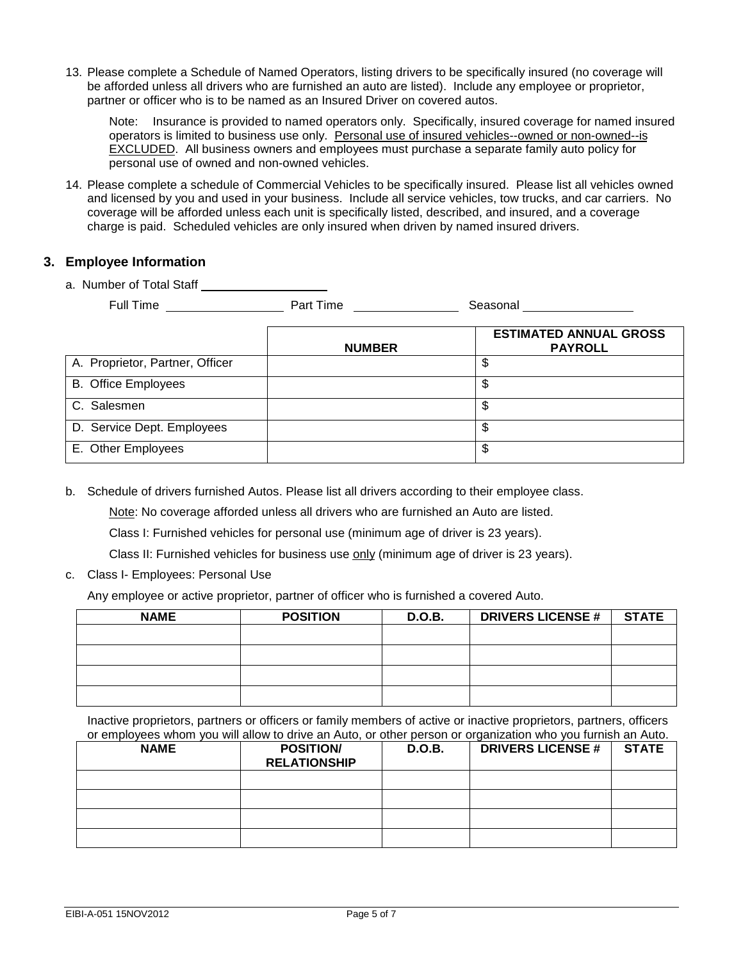13. Please complete a Schedule of Named Operators, listing drivers to be specifically insured (no coverage will be afforded unless all drivers who are furnished an auto are listed). Include any employee or proprietor, partner or officer who is to be named as an Insured Driver on covered autos.

Note: Insurance is provided to named operators only. Specifically, insured coverage for named insured operators is limited to business use only. Personal use of insured vehicles--owned or non-owned--is EXCLUDED. All business owners and employees must purchase a separate family auto policy for personal use of owned and non-owned vehicles.

14. Please complete a schedule of Commercial Vehicles to be specifically insured. Please list all vehicles owned and licensed by you and used in your business. Include all service vehicles, tow trucks, and car carriers. No coverage will be afforded unless each unit is specifically listed, described, and insured, and a coverage charge is paid. Scheduled vehicles are only insured when driven by named insured drivers.

# **3. Employee Information**

a. Number of Total Staff

| Full Time | Part Time      | Seasonal                                       |
|-----------|----------------|------------------------------------------------|
|           | <b>NIIMRFR</b> | <b>ESTIMATED ANNUAL GROSS</b><br><b>PAYROL</b> |

|                                 | <b>NUMBER</b> | <b>PAYROLL</b> |
|---------------------------------|---------------|----------------|
| A. Proprietor, Partner, Officer |               | \$             |
| <b>B.</b> Office Employees      |               | S              |
| C. Salesmen                     |               | \$             |
| D. Service Dept. Employees      |               | S              |
| E. Other Employees              |               | S              |

b. Schedule of drivers furnished Autos. Please list all drivers according to their employee class.

Note: No coverage afforded unless all drivers who are furnished an Auto are listed.

Class I: Furnished vehicles for personal use (minimum age of driver is 23 years).

Class II: Furnished vehicles for business use only (minimum age of driver is 23 years).

c. Class I- Employees: Personal Use

Any employee or active proprietor, partner of officer who is furnished a covered Auto.

| <b>NAME</b> | <b>POSITION</b> | <b>D.O.B.</b> | <b>DRIVERS LICENSE #  </b> | <b>STATE</b> |
|-------------|-----------------|---------------|----------------------------|--------------|
|             |                 |               |                            |              |
|             |                 |               |                            |              |
|             |                 |               |                            |              |
|             |                 |               |                            |              |

Inactive proprietors, partners or officers or family members of active or inactive proprietors, partners, officers or employees whom you will allow to drive an Auto, or other person or organization who you furnish an Auto.

| <b>NAME</b> | <b>POSITION/</b><br><b>RELATIONSHIP</b> | <b>D.O.B.</b> | <b>DRIVERS LICENSE #</b> | <b>STATE</b> |
|-------------|-----------------------------------------|---------------|--------------------------|--------------|
|             |                                         |               |                          |              |
|             |                                         |               |                          |              |
|             |                                         |               |                          |              |
|             |                                         |               |                          |              |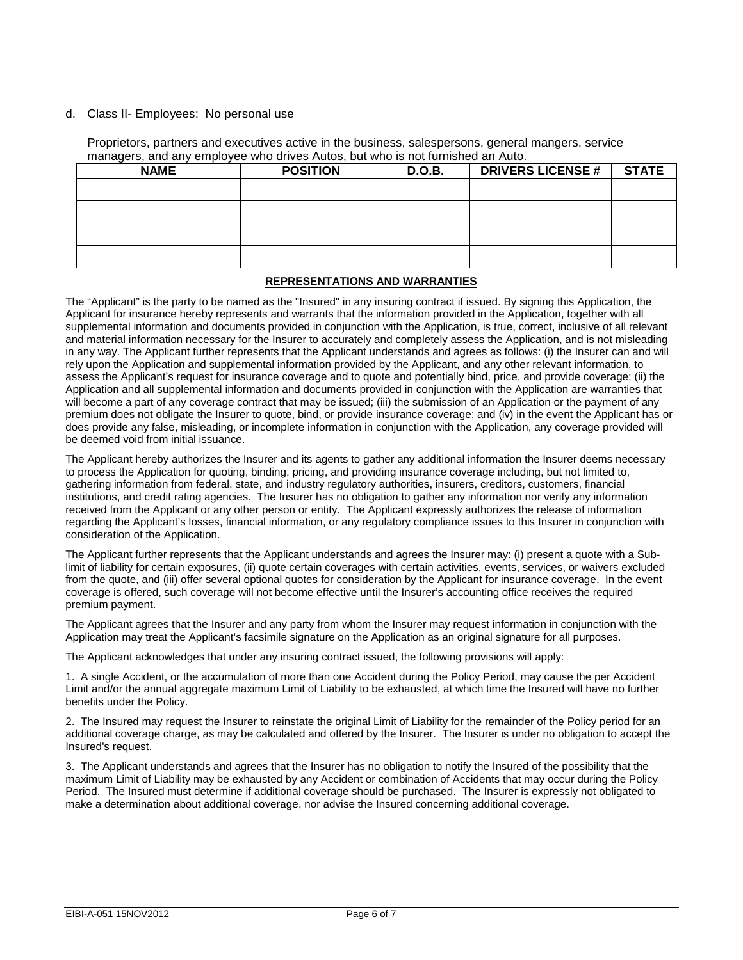#### d. Class II- Employees: No personal use

Proprietors, partners and executives active in the business, salespersons, general mangers, service managers, and any employee who drives Autos, but who is not furnished an Auto.

| <b>NAME</b> | <b>POSITION</b> | D.O.B. | <b>DRIVERS LICENSE #</b> | <b>STATE</b> |
|-------------|-----------------|--------|--------------------------|--------------|
|             |                 |        |                          |              |
|             |                 |        |                          |              |
|             |                 |        |                          |              |
|             |                 |        |                          |              |

#### **REPRESENTATIONS AND WARRANTIES**

The "Applicant" is the party to be named as the "Insured" in any insuring contract if issued. By signing this Application, the Applicant for insurance hereby represents and warrants that the information provided in the Application, together with all supplemental information and documents provided in conjunction with the Application, is true, correct, inclusive of all relevant and material information necessary for the Insurer to accurately and completely assess the Application, and is not misleading in any way. The Applicant further represents that the Applicant understands and agrees as follows: (i) the Insurer can and will rely upon the Application and supplemental information provided by the Applicant, and any other relevant information, to assess the Applicant's request for insurance coverage and to quote and potentially bind, price, and provide coverage; (ii) the Application and all supplemental information and documents provided in conjunction with the Application are warranties that will become a part of any coverage contract that may be issued; (iii) the submission of an Application or the payment of any premium does not obligate the Insurer to quote, bind, or provide insurance coverage; and (iv) in the event the Applicant has or does provide any false, misleading, or incomplete information in conjunction with the Application, any coverage provided will be deemed void from initial issuance.

The Applicant hereby authorizes the Insurer and its agents to gather any additional information the Insurer deems necessary to process the Application for quoting, binding, pricing, and providing insurance coverage including, but not limited to, gathering information from federal, state, and industry regulatory authorities, insurers, creditors, customers, financial institutions, and credit rating agencies. The Insurer has no obligation to gather any information nor verify any information received from the Applicant or any other person or entity. The Applicant expressly authorizes the release of information regarding the Applicant's losses, financial information, or any regulatory compliance issues to this Insurer in conjunction with consideration of the Application.

The Applicant further represents that the Applicant understands and agrees the Insurer may: (i) present a quote with a Sublimit of liability for certain exposures, (ii) quote certain coverages with certain activities, events, services, or waivers excluded from the quote, and (iii) offer several optional quotes for consideration by the Applicant for insurance coverage. In the event coverage is offered, such coverage will not become effective until the Insurer's accounting office receives the required premium payment.

The Applicant agrees that the Insurer and any party from whom the Insurer may request information in conjunction with the Application may treat the Applicant's facsimile signature on the Application as an original signature for all purposes.

The Applicant acknowledges that under any insuring contract issued, the following provisions will apply:

1. A single Accident, or the accumulation of more than one Accident during the Policy Period, may cause the per Accident Limit and/or the annual aggregate maximum Limit of Liability to be exhausted, at which time the Insured will have no further benefits under the Policy.

2. The Insured may request the Insurer to reinstate the original Limit of Liability for the remainder of the Policy period for an additional coverage charge, as may be calculated and offered by the Insurer. The Insurer is under no obligation to accept the Insured's request.

3. The Applicant understands and agrees that the Insurer has no obligation to notify the Insured of the possibility that the maximum Limit of Liability may be exhausted by any Accident or combination of Accidents that may occur during the Policy Period. The Insured must determine if additional coverage should be purchased. The Insurer is expressly not obligated to make a determination about additional coverage, nor advise the Insured concerning additional coverage.